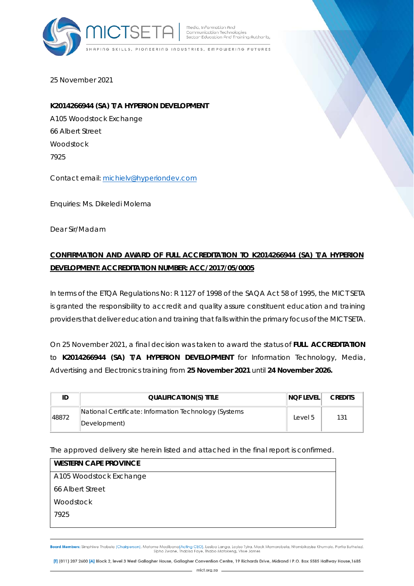

Media, Information And Communication Technologies<br>Sector Education And Training Authority

SKILLS, PIONEERING INDUSTRIES, EMPOWERING FUTURES

25 November 2021

## **K2014266944 (SA) T/A HYPERION DEVELOPMENT**

A105 Woodstock Exchange 66 Albert Street Woodstock 7925

Contact email: michielv@hyperiondev.com

Enquiries: Ms. Dikeledi Molema

Dear Sir/Madam

## **CONFIRMATION AND AWARD OF FULL ACCREDITATION TO K2014266944 (SA) T/A HYPERION DEVELOPMENT: ACCREDITATION NUMBER: ACC/2017/05/0005**

In terms of the ETQA Regulations No: R 1127 of 1998 of the SAQA Act 58 of 1995, the MICT SETA is granted the responsibility to accredit and quality assure constituent education and training providers that deliver education and training that falls within the primary focus of the MICT SETA.

On 25 November 2021, a final decision was taken to award the status of **FULL ACCREDITATION** to **K2014266944 (SA) T/A HYPERION DEVELOPMENT** for Information Technology, Media, Advertising and Electronics training from **25 November 2021** until **24 November 2026.** 

|       | <b>QUALIFICATION(S) TITLE</b>                                         | <b>NOF LEVEL</b> | <b>CREDITS</b> |
|-------|-----------------------------------------------------------------------|------------------|----------------|
| 48872 | National Certificate: Information Technology (Systems<br>Development) | Level 5          | 131            |

The approved delivery site herein listed and attached in the final report is confirmed.

| <b>WESTERN CAPE PROVINCE</b> |
|------------------------------|
| A105 Woodstock Exchange      |
| 66 Albert Street             |
| Woodstock                    |
| 7925                         |
|                              |

Board Members: Simphiwe Thobela (Chairperson), Matome Madibana(Acting CEO), Lesiba Langa, Loyiso Tyira, Mack Mamorobela, Ntombikayise Khumalo, Portia Buthelezi,<br>Sipho Zwane, Thabisa Faye, Thabo Mofokeng, Viwe James

[1] (011) 207 2600 [A] Block 2, level 3 West Gallagher House, Gallagher Convention Centre, 19 Richards Drive, Midrand I P.O. Box 5585 Halfway House, 1685